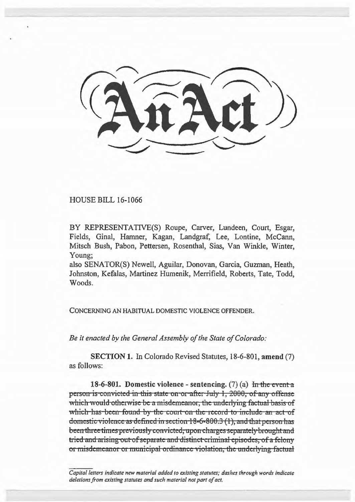HOUSE BILL 16-1066

BY REPRESENTATIVE(S) Roupe, Carver, Lundeen, Court, Esgar, Fields, Ginal, Hamner, Kagan, Landgraf, Lee, Lontine, McCann, Mitsch Bush, Pabon, Pettersen, Rosenthal, Sias, Van Winkle, Winter, Young;

also SENATOR(S) Newell, Aguilar, Donovan, Garcia, Guzman, Heath, Johnston, Kefalas, Martinez Humenik, Merrifield, Roberts, Tate, Todd, Woods.

CONCERNING AN HABITUAL DOMESTIC VIOLENCE OFFENDER.

*Be it enacted by the General Assembly of the State of Colorado:* 

SECTION 1. In Colorado Revised Statutes, 18-6-801, amend (7) as follows:

18-6-801. Domestic violence - sentencing. (7) (a) In the event a person is convicted in this state on or after July 1, 2000, of any offense which would otherwise be a misdemeanor, the underlying factual basis of which has been found by the court on the record to include an act of domestic violence as defined in section  $18-6-800.3$  (1), and that person has been three times previously convicted, upon charges separately brought and tried and arising out of separate and distinct criminal episodes, of a felony or misdemeanor or municipal ordinance violation, the underlying factual

*Capital letters indicate new material added to existing statutes; dashes through words indicate deletions from existing statutes and such material not part of act.*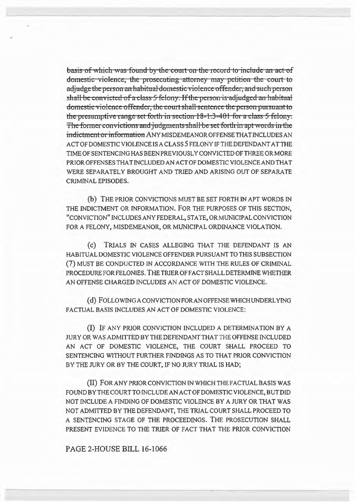basis of which was found by the court on the record to include an act of domestic violence, the prosecuting attorney may petition the court to adjudge the person an habitual domestic violence offender, and such person shall be convicted of a class 5-felony. If the person is adjudged an habitual domestic violence offender, the court shall sentence the person pursuant to the presumptive range set forth in section  $18-1.3-401$  for a class 5 felony. The former convictions and judgments shall be set forth in apt words in the indictment or information ANY MISDEMEANOR OFFENSE THAT INCLUDES AN ACT OF DOMESTIC VIOLENCE IS A CLASS 5 FELONY IF THE DEFENDANT AT THE TIME OF SENTENCING HAS BEEN PREVIOUSLY CONVICTED OF THREE OR MORE PRIOR OFFENSES THAT INCLUDED AN ACT OF DOMESTIC VIOLENCE AND THAT WERE SEPARATELY BROUGHT AND TRIED AND ARISING OUT OF SEPARATE CRIMINAL EPISODES.

(b) THE PRIOR CONVICTIONS MUST BE SET FORTH IN APT WORDS IN THE INDICTMENT OR INFORMATION. FOR THE PURPOSES OF THIS SECTION, "CONVICTION" INCLUDES ANY FEDERAL, STA TE, OR MUNICIPAL CONVICTION FOR A FELONY, MISDEMEANOR, OR MUNICIPAL ORDINANCE VIOLATION.

(c) TRIALS IN CASES ALLEGING THAT THE DEFENDANT IS AN HABITUAL DOMESTIC VIOLENCE OFFENDER PURSUANT TO THIS SUBSECTION (7) MUST BE CONDUCTED IN ACCORDANCE WITH THE RULES OF CRIMINAL PROCEDURE FOR FELONIES. THE TRIER OF FACT SHALL DETERMINE WHETHER AN OFFENSE CHARGED INCLUDES AN ACT OF DOMESTIC VIOLENCE.

(d) FOLLOWING A CONVICTION FOR AN OFFENSE WHICH UNDERLYING FACTUAL BASIS INCLUDES AN ACT OF DOMESTIC VIOLENCE:

(I) IF ANY PRIOR CONVICTION INCLUDED A DETERMINATION BY A JURY OR WAS ADMITTED BY THE DEFENDANT THAT THE OFFENSE INCLUDED AN ACT OF DOMESTIC VIOLENCE, THE COURT SHALL PROCEED TO SENTENCING WITHOUT FURTHER FINDINGS AS TO THAT PRIOR CONVICTION BY THE JURY OR BY THE COURT, IF NO JURY TRIAL IS HAD;

(II) FOR ANY PRIOR CONVICTION IN WHICH THE FACTUAL BASIS WAS FOUND BY THE COURT TO INCLUDE AN ACT OF DOMESTIC VIOLENCE, BUT DID NOT INCLUDE A FINDING OF DOMESTIC VIOLENCE BY A JURY OR THAT WAS NOT ADMITTED BY THE DEFENDANT, THE TRIAL COURT SHALL PROCEED TO A SENTENCING STAGE OF THE PROCEEDINGS. THE PROSECUTION SHALL PRESENT EVIDENCE TO THE TRIER OF FACT THAT THE PRIOR CONVICTION

PAGE 2-HOUSE BILL 16-1066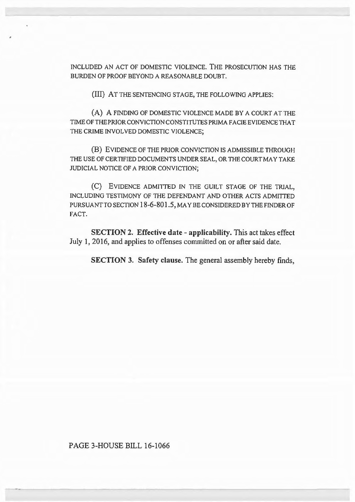INCLUDED AN ACT OF DOMESTIC VIOLENCE. THE PROSECUTION HAS THE BURDEN OF PROOF BEYOND A REASONABLE DOUBT.

(III) AT THE SENTENCING STAGE, THE FOLLOWING APPLIES:

(A) A FINDING OF DOMESTIC VIOLENCE MADE BY A COURT AT THE TIME OF THE PRIOR CONVICTION CONSTITUTES PRIMA FACIE EVIDENCE THAT THE CRIME INVOLVED DOMESTIC VIOLENCE;

(B) EVIDENCE OF THE PRIOR CONVICTION IS ADMISSIBLE THROUGH THE USE OF CERTIFIED DOCUMENTS UNDER SEAL, OR THE COURT MAY TAKE JUDICIAL NOTICE OF A PRJOR CONVICTION;

(C) EVIDENCE ADMITTED IN THE GUILT STAGE OF THE TRJAL, INCLUDING TESTIMONY OF THE DEFENDANT AND OTHER ACTS ADMITTED PURSUANT TO SECTION 18-6-801.5, MAY BE CONSIDERED BY THE FINDER OF FACT.

SECTION 2. Effective date - applicability. This act takes effect July l, 2016, and applies to offenses committed on or after said date.

SECTION 3. Safety clause. The general assembly hereby finds,